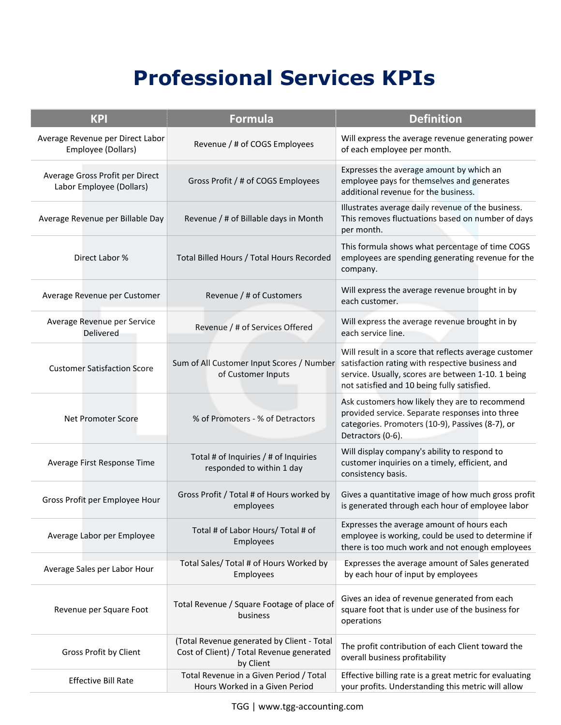## **Professional Services KPIs**

| <b>KPI</b>                                                  | <b>Formula</b>                                                                                       | <b>Definition</b>                                                                                                                                                                                              |
|-------------------------------------------------------------|------------------------------------------------------------------------------------------------------|----------------------------------------------------------------------------------------------------------------------------------------------------------------------------------------------------------------|
| Average Revenue per Direct Labor<br>Employee (Dollars)      | Revenue / # of COGS Employees                                                                        | Will express the average revenue generating power<br>of each employee per month.                                                                                                                               |
| Average Gross Profit per Direct<br>Labor Employee (Dollars) | Gross Profit / # of COGS Employees                                                                   | Expresses the average amount by which an<br>employee pays for themselves and generates<br>additional revenue for the business.                                                                                 |
| Average Revenue per Billable Day                            | Revenue / # of Billable days in Month                                                                | Illustrates average daily revenue of the business.<br>This removes fluctuations based on number of days<br>per month.                                                                                          |
| Direct Labor %                                              | Total Billed Hours / Total Hours Recorded                                                            | This formula shows what percentage of time COGS<br>employees are spending generating revenue for the<br>company.                                                                                               |
| Average Revenue per Customer                                | Revenue / # of Customers                                                                             | Will express the average revenue brought in by<br>each customer.                                                                                                                                               |
| Average Revenue per Service<br>Delivered                    | Revenue / # of Services Offered                                                                      | Will express the average revenue brought in by<br>each service line.                                                                                                                                           |
| <b>Customer Satisfaction Score</b>                          | Sum of All Customer Input Scores / Number<br>of Customer Inputs                                      | Will result in a score that reflects average customer<br>satisfaction rating with respective business and<br>service. Usually, scores are between 1-10. 1 being<br>not satisfied and 10 being fully satisfied. |
| Net Promoter Score                                          | % of Promoters - % of Detractors                                                                     | Ask customers how likely they are to recommend<br>provided service. Separate responses into three<br>categories. Promoters (10-9), Passives (8-7), or<br>Detractors (0-6).                                     |
| Average First Response Time                                 | Total # of Inquiries / # of Inquiries<br>responded to within 1 day                                   | Will display company's ability to respond to<br>customer inquiries on a timely, efficient, and<br>consistency basis.                                                                                           |
| Gross Profit per Employee Hour                              | Gross Profit / Total # of Hours worked by<br>employees                                               | Gives a quantitative image of how much gross profit<br>is generated through each hour of employee labor                                                                                                        |
| Average Labor per Employee                                  | Total # of Labor Hours/ Total # of<br>Employees                                                      | Expresses the average amount of hours each<br>employee is working, could be used to determine if<br>there is too much work and not enough employees                                                            |
| Average Sales per Labor Hour                                | Total Sales/ Total # of Hours Worked by<br>Employees                                                 | Expresses the average amount of Sales generated<br>by each hour of input by employees                                                                                                                          |
| Revenue per Square Foot                                     | Total Revenue / Square Footage of place of<br>business                                               | Gives an idea of revenue generated from each<br>square foot that is under use of the business for<br>operations                                                                                                |
| Gross Profit by Client                                      | (Total Revenue generated by Client - Total<br>Cost of Client) / Total Revenue generated<br>by Client | The profit contribution of each Client toward the<br>overall business profitability                                                                                                                            |
| <b>Effective Bill Rate</b>                                  | Total Revenue in a Given Period / Total<br>Hours Worked in a Given Period                            | Effective billing rate is a great metric for evaluating<br>your profits. Understanding this metric will allow                                                                                                  |